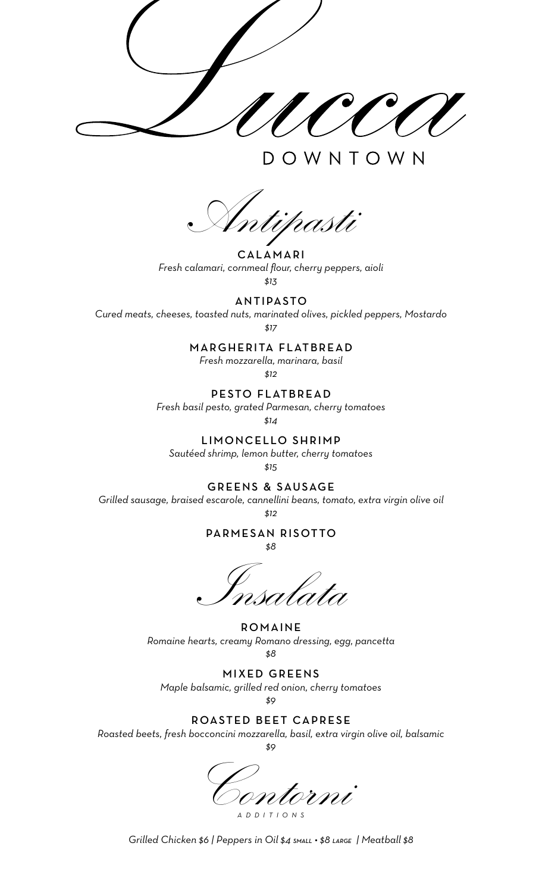OWNTOWN

Antipasti

**CALAMARI** *Fresh calamari, cornmeal flour, cherry peppers, aioli \$13*

ANTIPASTO

*Cured meats, cheeses, toasted nuts, marinated olives, pickled peppers, Mostardo* 

*\$17*

# MARGHERITA FLATBREAD

*Fresh mozzarella, marinara, basil \$12*

PESTO FLATBREAD

*Fresh basil pesto, grated Parmesan, cherry tomatoes*

*\$14* 

LIMONCELLO SHRIMP

*Sautéed shrimp, lemon butter, cherry tomatoes* 

*\$15*

GREENS & SAUSAGE

*Grilled sausage, braised escarole, cannellini beans, tomato, extra virgin olive oil* 

*\$12*

PARMESAN RISOTTO

*\$8*

Insalata

**ROMAINE** *Romaine hearts, creamy Romano dressing, egg, pancetta \$8*

MIXED GREENS *Maple balsamic, grilled red onion, cherry tomatoes* 

*\$9*

# ROASTED BEET CAPRESE

*Roasted beets, fresh bocconcini mozzarella, basil, extra virgin olive oil, balsamic \$9*

Contorni *ADDITIONS*

*Grilled Chicken \$6 | Peppers in Oil \$4 SMALL • \$8 LARGE | Meatball \$8*